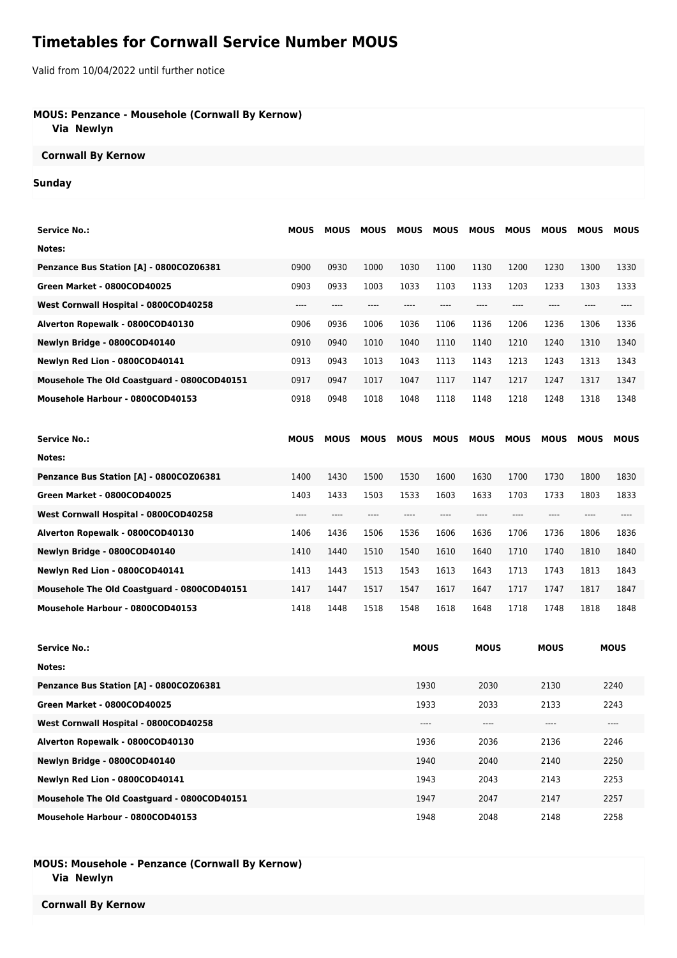# **Timetables for Cornwall Service Number MOUS**

Valid from 10/04/2022 until further notice

#### **MOUS: Penzance - Mousehole (Cornwall By Kernow)**

 **Via Newlyn**

# **Cornwall By Kernow**

#### **Sunday**

| <b>Service No.:</b>                         | <b>MOUS</b> | <b>MOUS</b> | <b>MOUS</b> | <b>MOUS</b> | <b>MOUS</b> | <b>MOUS</b> | <b>MOUS</b> | <b>MOUS</b> | <b>MOUS</b> | <b>MOUS</b> |
|---------------------------------------------|-------------|-------------|-------------|-------------|-------------|-------------|-------------|-------------|-------------|-------------|
| Notes:                                      |             |             |             |             |             |             |             |             |             |             |
| Penzance Bus Station [A] - 0800COZ06381     | 0900        | 0930        | 1000        | 1030        | 1100        | 1130        | 1200        | 1230        | 1300        | 1330        |
| Green Market - 0800COD40025                 | 0903        | 0933        | 1003        | 1033        | 1103        | 1133        | 1203        | 1233        | 1303        | 1333        |
| West Cornwall Hospital - 0800COD40258       | $--- -$     | ----        | ----        | ----        | ----        | $---$       | $---$       | $---$       | $---$       | $---$       |
| Alverton Ropewalk - 0800COD40130            | 0906        | 0936        | 1006        | 1036        | 1106        | 1136        | 1206        | 1236        | 1306        | 1336        |
| Newlyn Bridge - 0800COD40140                | 0910        | 0940        | 1010        | 1040        | 1110        | 1140        | 1210        | 1240        | 1310        | 1340        |
| Newlyn Red Lion - 0800COD40141              | 0913        | 0943        | 1013        | 1043        | 1113        | 1143        | 1213        | 1243        | 1313        | 1343        |
| Mousehole The Old Coastguard - 0800COD40151 | 0917        | 0947        | 1017        | 1047        | 1117        | 1147        | 1217        | 1247        | 1317        | 1347        |
| Mousehole Harbour - 0800COD40153            | 0918        | 0948        | 1018        | 1048        | 1118        | 1148        | 1218        | 1248        | 1318        | 1348        |
|                                             |             |             |             |             |             |             |             |             |             |             |
| <b>Service No.:</b>                         | <b>MOUS</b> | <b>MOUS</b> | <b>MOUS</b> | <b>MOUS</b> | <b>MOUS</b> | <b>MOUS</b> | <b>MOUS</b> | <b>MOUS</b> | <b>MOUS</b> | <b>MOUS</b> |
| Notes:                                      |             |             |             |             |             |             |             |             |             |             |
| Penzance Bus Station [A] - 0800COZ06381     | 1400        | 1430        | 1500        | 1530        | 1600        | 1630        | 1700        | 1730        | 1800        | 1830        |
| Green Market - 0800COD40025                 | 1403        | 1433        | 1503        | 1533        | 1603        | 1633        | 1703        | 1733        | 1803        | 1833        |
| West Cornwall Hospital - 0800COD40258       | ----        | ----        | ----        | ----        | ----        | ----        | $---$       | $---$       | ----        | ----        |
| Alverton Ropewalk - 0800COD40130            | 1406        | 1436        | 1506        | 1536        | 1606        | 1636        | 1706        | 1736        | 1806        | 1836        |
| Newlyn Bridge - 0800COD40140                | 1410        | 1440        | 1510        | 1540        | 1610        | 1640        | 1710        | 1740        | 1810        | 1840        |
| Newlyn Red Lion - 0800COD40141              | 1413        | 1443        | 1513        | 1543        | 1613        | 1643        | 1713        | 1743        | 1813        | 1843        |
|                                             |             |             |             |             |             |             |             |             |             |             |
| Mousehole The Old Coastguard - 0800COD40151 | 1417        | 1447        | 1517        | 1547        | 1617        | 1647        | 1717        | 1747        | 1817        | 1847        |

| <b>Service No.:</b>                         | <b>MOUS</b> | <b>MOUS</b> | <b>MOUS</b> | <b>MOUS</b> |
|---------------------------------------------|-------------|-------------|-------------|-------------|
| Notes:                                      |             |             |             |             |
| Penzance Bus Station [A] - 0800COZ06381     | 1930        | 2030        | 2130        | 2240        |
| Green Market - 0800COD40025                 | 1933        | 2033        | 2133        | 2243        |
| West Cornwall Hospital - 0800COD40258       | $---$       | ----        | ----        | $---$       |
| Alverton Ropewalk - 0800COD40130            | 1936        | 2036        | 2136        | 2246        |
| Newlyn Bridge - 0800COD40140                | 1940        | 2040        | 2140        | 2250        |
| Newlyn Red Lion - 0800COD40141              | 1943        | 2043        | 2143        | 2253        |
| Mousehole The Old Coastguard - 0800COD40151 | 1947        | 2047        | 2147        | 2257        |
| Mousehole Harbour - 0800COD40153            | 1948        | 2048        | 2148        | 2258        |

### **MOUS: Mousehole - Penzance (Cornwall By Kernow) Via Newlyn**